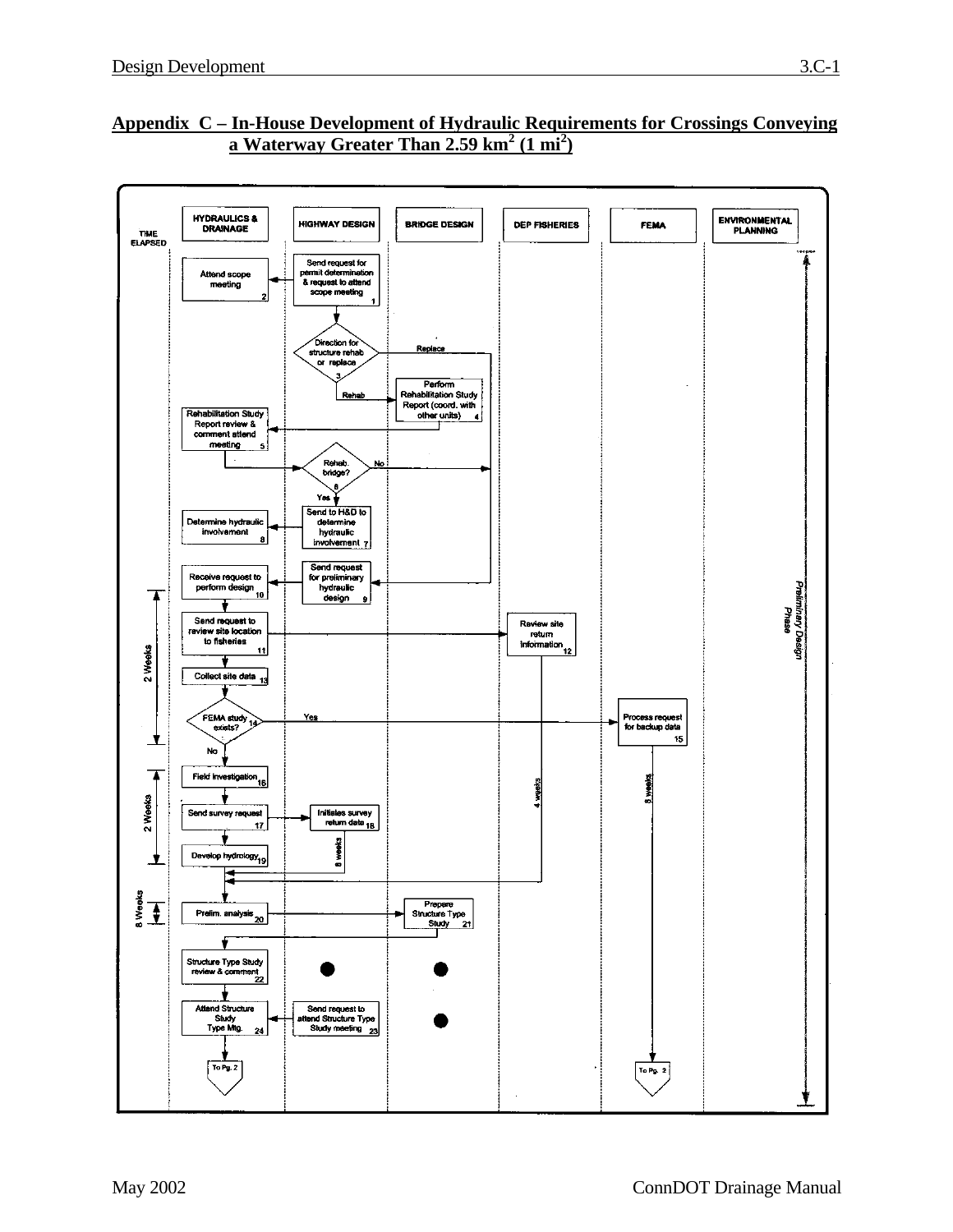

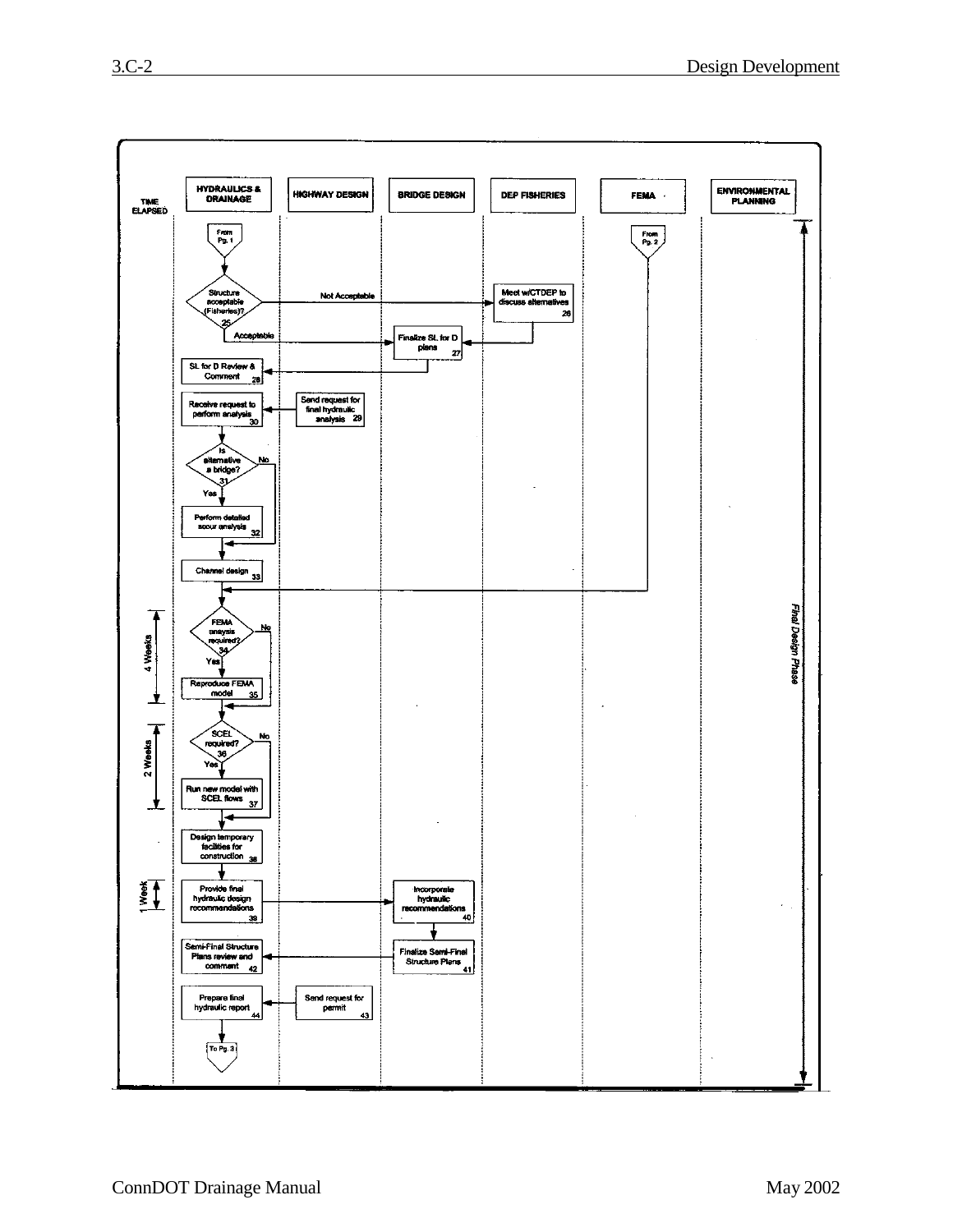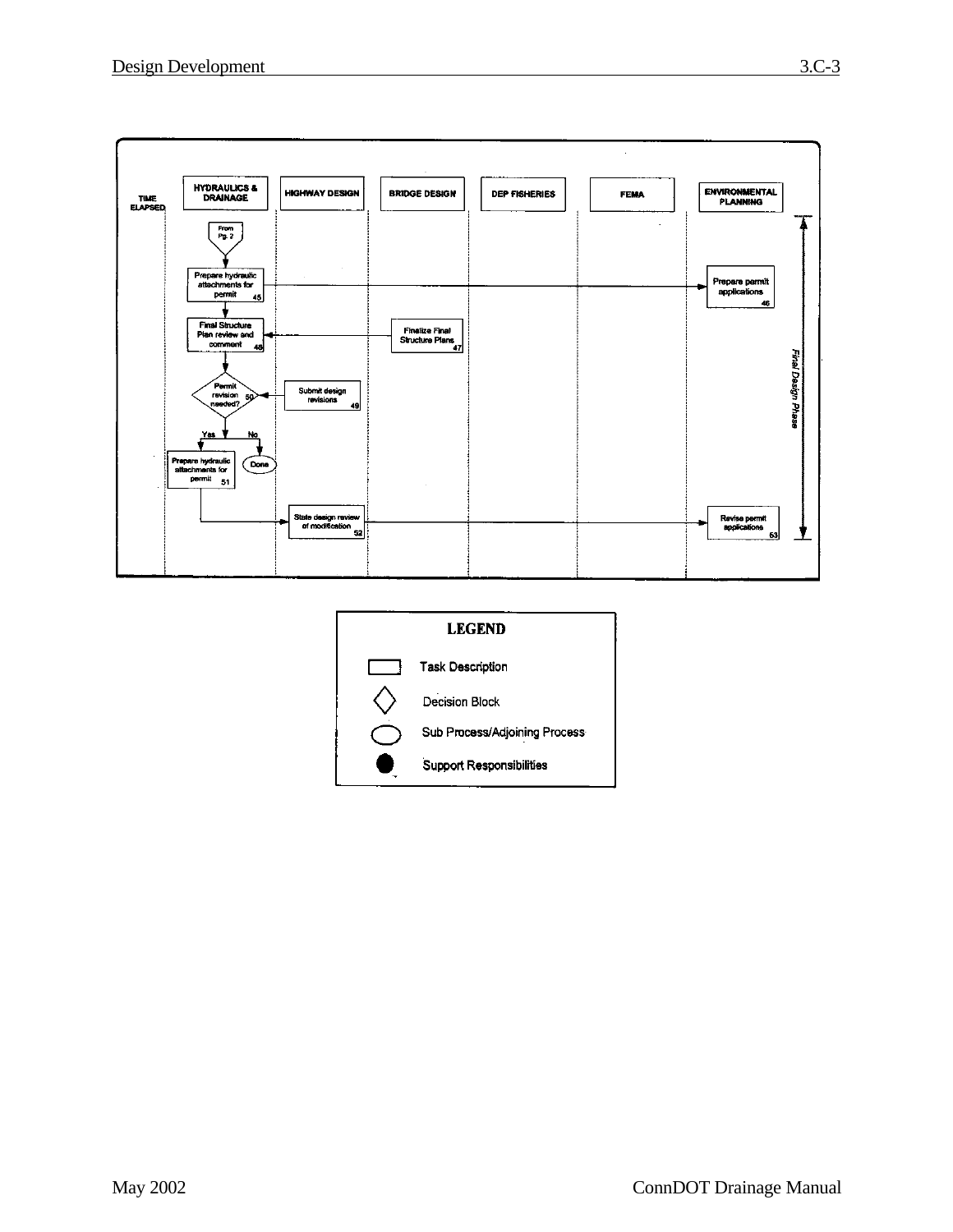

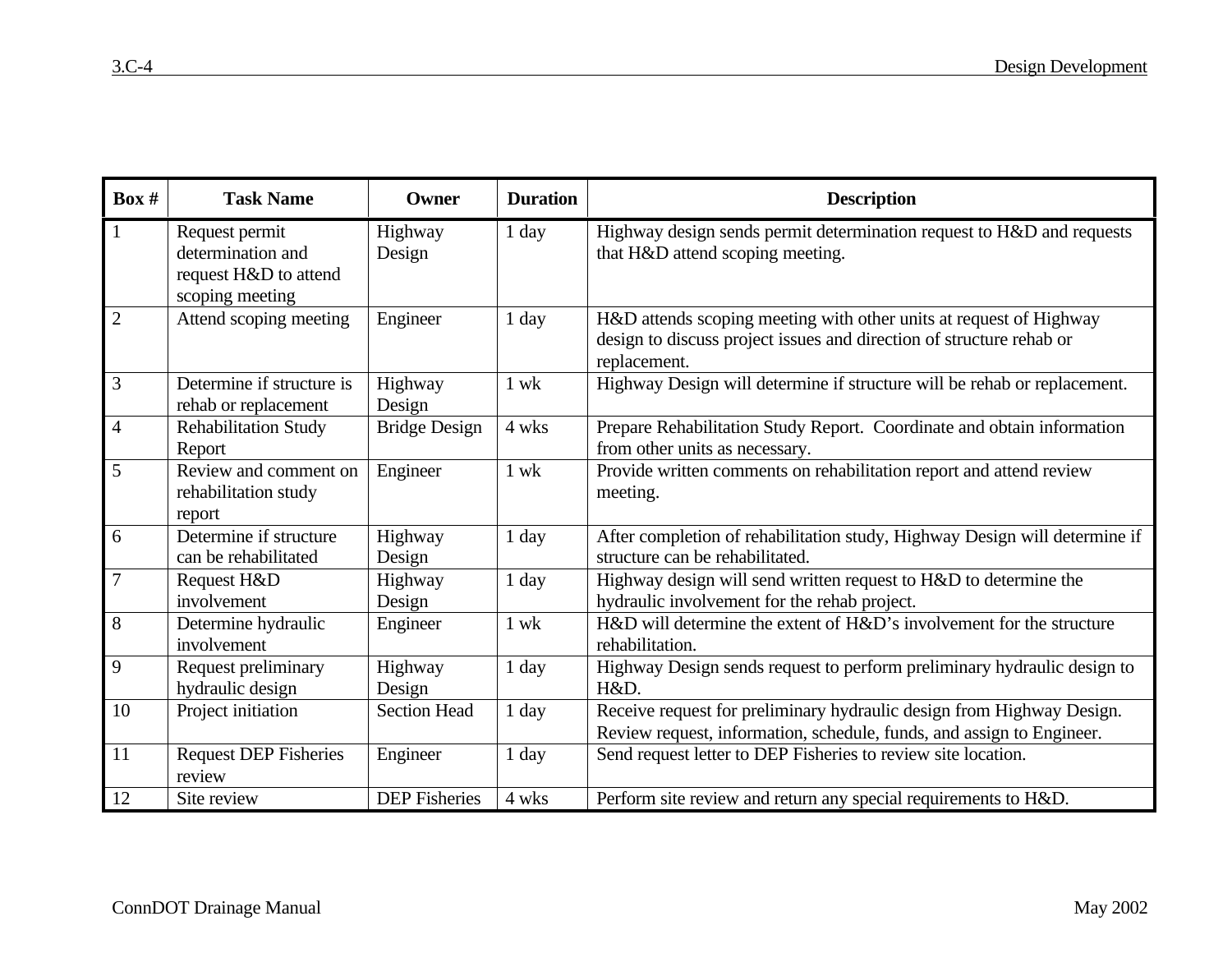| Box #          | <b>Task Name</b>                                                                | Owner                | <b>Duration</b> | <b>Description</b>                                                                                                                                         |
|----------------|---------------------------------------------------------------------------------|----------------------|-----------------|------------------------------------------------------------------------------------------------------------------------------------------------------------|
| $\mathbf{1}$   | Request permit<br>determination and<br>request H&D to attend<br>scoping meeting | Highway<br>Design    | 1 day           | Highway design sends permit determination request to H&D and requests<br>that H&D attend scoping meeting.                                                  |
| $\overline{2}$ | Attend scoping meeting                                                          | Engineer             | 1 day           | H&D attends scoping meeting with other units at request of Highway<br>design to discuss project issues and direction of structure rehab or<br>replacement. |
| $\mathfrak{Z}$ | Determine if structure is<br>rehab or replacement                               | Highway<br>Design    | $1$ wk          | Highway Design will determine if structure will be rehab or replacement.                                                                                   |
| $\overline{4}$ | <b>Rehabilitation Study</b><br>Report                                           | <b>Bridge Design</b> | 4 wks           | Prepare Rehabilitation Study Report. Coordinate and obtain information<br>from other units as necessary.                                                   |
| 5              | Review and comment on<br>rehabilitation study<br>report                         | Engineer             | 1 wk            | Provide written comments on rehabilitation report and attend review<br>meeting.                                                                            |
| 6              | Determine if structure<br>can be rehabilitated                                  | Highway<br>Design    | 1 day           | After completion of rehabilitation study, Highway Design will determine if<br>structure can be rehabilitated.                                              |
| $\overline{7}$ | Request H&D<br>involvement                                                      | Highway<br>Design    | 1 day           | Highway design will send written request to H&D to determine the<br>hydraulic involvement for the rehab project.                                           |
| 8              | Determine hydraulic<br>involvement                                              | Engineer             | $1$ wk          | H&D will determine the extent of H&D's involvement for the structure<br>rehabilitation.                                                                    |
| 9              | Request preliminary<br>hydraulic design                                         | Highway<br>Design    | 1 day           | Highway Design sends request to perform preliminary hydraulic design to<br>H&D.                                                                            |
| 10             | Project initiation                                                              | <b>Section Head</b>  | 1 day           | Receive request for preliminary hydraulic design from Highway Design.<br>Review request, information, schedule, funds, and assign to Engineer.             |
| 11             | <b>Request DEP Fisheries</b><br>review                                          | Engineer             | 1 day           | Send request letter to DEP Fisheries to review site location.                                                                                              |
| 12             | Site review                                                                     | <b>DEP</b> Fisheries | 4 wks           | Perform site review and return any special requirements to H&D.                                                                                            |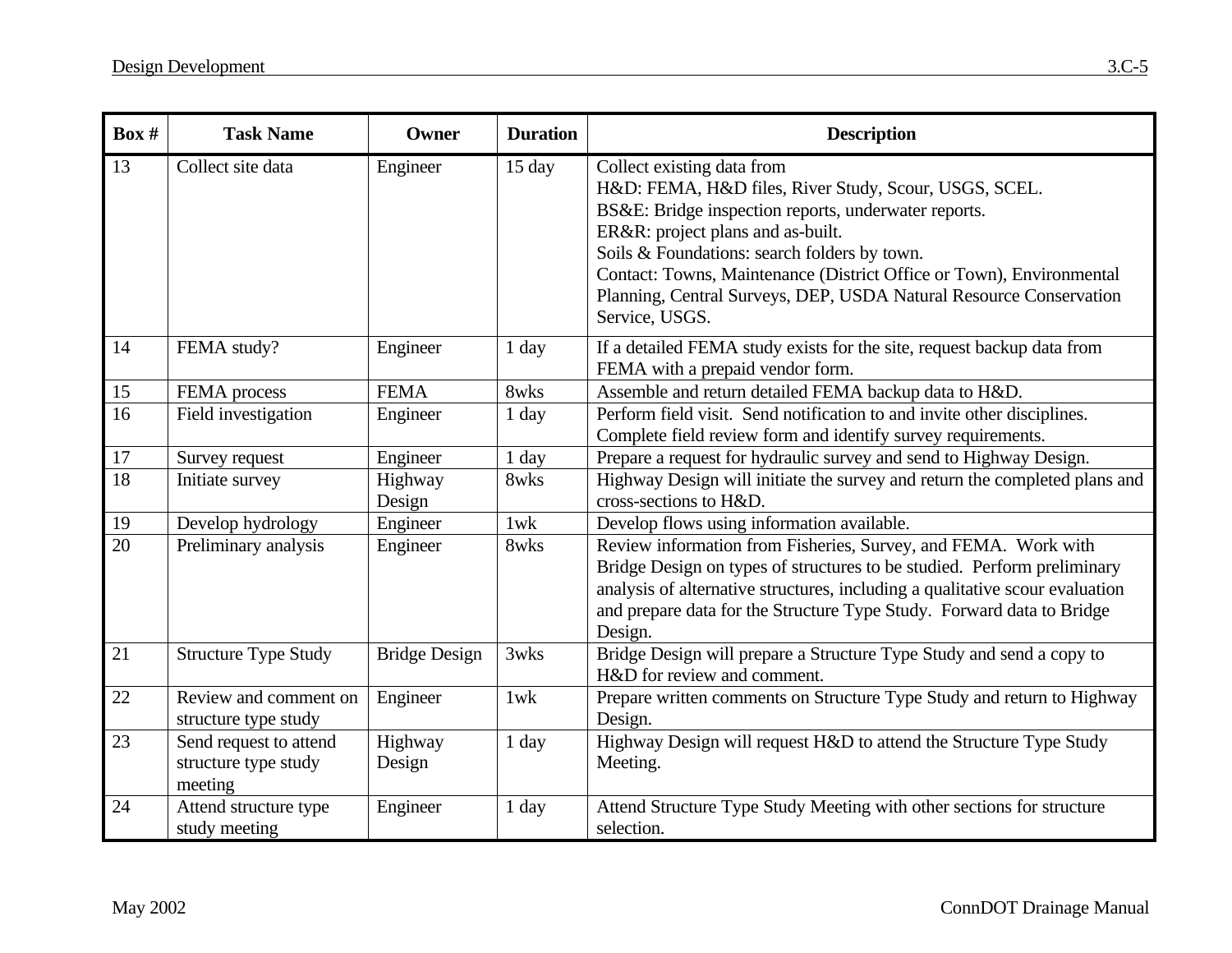| Box #           | <b>Task Name</b>                                          | Owner                | <b>Duration</b> | <b>Description</b>                                                                                                                                                                                                                                                                                                                                                                               |
|-----------------|-----------------------------------------------------------|----------------------|-----------------|--------------------------------------------------------------------------------------------------------------------------------------------------------------------------------------------------------------------------------------------------------------------------------------------------------------------------------------------------------------------------------------------------|
| 13              | Collect site data                                         | Engineer             | 15 day          | Collect existing data from<br>H&D: FEMA, H&D files, River Study, Scour, USGS, SCEL.<br>BS&E: Bridge inspection reports, underwater reports.<br>ER&R: project plans and as-built.<br>Soils & Foundations: search folders by town.<br>Contact: Towns, Maintenance (District Office or Town), Environmental<br>Planning, Central Surveys, DEP, USDA Natural Resource Conservation<br>Service, USGS. |
| 14              | FEMA study?                                               | Engineer             | 1 day           | If a detailed FEMA study exists for the site, request backup data from<br>FEMA with a prepaid vendor form.                                                                                                                                                                                                                                                                                       |
| 15              | FEMA process                                              | <b>FEMA</b>          | 8wks            | Assemble and return detailed FEMA backup data to H&D.                                                                                                                                                                                                                                                                                                                                            |
| 16              | Field investigation                                       | Engineer             | 1 day           | Perform field visit. Send notification to and invite other disciplines.<br>Complete field review form and identify survey requirements.                                                                                                                                                                                                                                                          |
| 17              | Survey request                                            | Engineer             | $1$ day         | Prepare a request for hydraulic survey and send to Highway Design.                                                                                                                                                                                                                                                                                                                               |
| $\overline{18}$ | Initiate survey                                           | Highway<br>Design    | 8wks            | Highway Design will initiate the survey and return the completed plans and<br>cross-sections to H&D.                                                                                                                                                                                                                                                                                             |
| 19              | Develop hydrology                                         | Engineer             | $1$ w $k$       | Develop flows using information available.                                                                                                                                                                                                                                                                                                                                                       |
| 20              | Preliminary analysis                                      | Engineer             | 8wks            | Review information from Fisheries, Survey, and FEMA. Work with<br>Bridge Design on types of structures to be studied. Perform preliminary<br>analysis of alternative structures, including a qualitative scour evaluation<br>and prepare data for the Structure Type Study. Forward data to Bridge<br>Design.                                                                                    |
| 21              | <b>Structure Type Study</b>                               | <b>Bridge Design</b> | 3wks            | Bridge Design will prepare a Structure Type Study and send a copy to<br>H&D for review and comment.                                                                                                                                                                                                                                                                                              |
| 22              | Review and comment on<br>structure type study             | Engineer             | $1$ w $k$       | Prepare written comments on Structure Type Study and return to Highway<br>Design.                                                                                                                                                                                                                                                                                                                |
| 23              | Send request to attend<br>structure type study<br>meeting | Highway<br>Design    | 1 day           | Highway Design will request H&D to attend the Structure Type Study<br>Meeting.                                                                                                                                                                                                                                                                                                                   |
| 24              | Attend structure type<br>study meeting                    | Engineer             | $1$ day         | Attend Structure Type Study Meeting with other sections for structure<br>selection.                                                                                                                                                                                                                                                                                                              |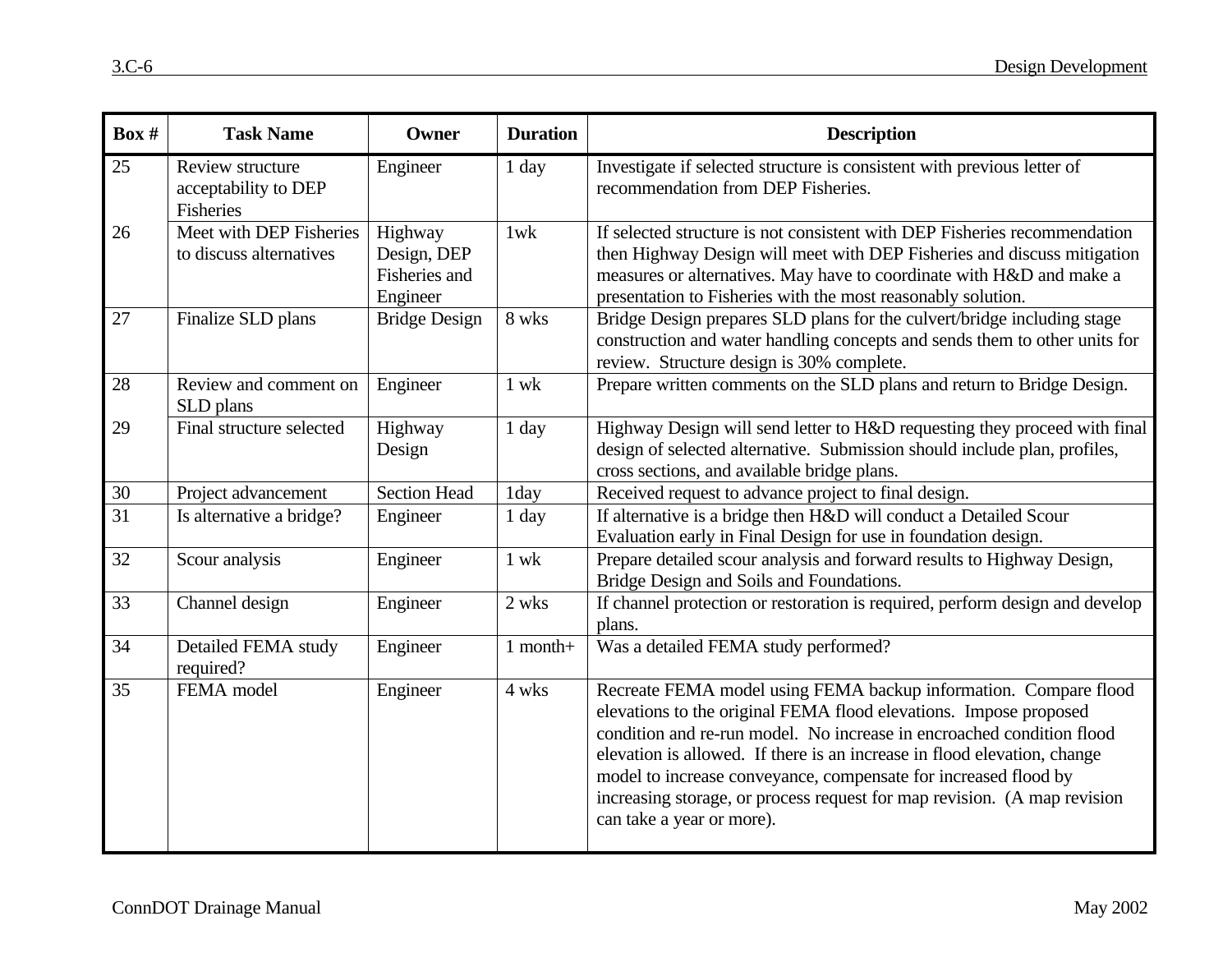| Box #           | <b>Task Name</b>                                      | Owner                                               | <b>Duration</b> | <b>Description</b>                                                                                                                                                                                                                                                                                                                                                                                                                                                     |
|-----------------|-------------------------------------------------------|-----------------------------------------------------|-----------------|------------------------------------------------------------------------------------------------------------------------------------------------------------------------------------------------------------------------------------------------------------------------------------------------------------------------------------------------------------------------------------------------------------------------------------------------------------------------|
| 25              | Review structure<br>acceptability to DEP<br>Fisheries | Engineer                                            | $1$ day         | Investigate if selected structure is consistent with previous letter of<br>recommendation from DEP Fisheries.                                                                                                                                                                                                                                                                                                                                                          |
| 26              | Meet with DEP Fisheries<br>to discuss alternatives    | Highway<br>Design, DEP<br>Fisheries and<br>Engineer | $1$ w $k$       | If selected structure is not consistent with DEP Fisheries recommendation<br>then Highway Design will meet with DEP Fisheries and discuss mitigation<br>measures or alternatives. May have to coordinate with H&D and make a<br>presentation to Fisheries with the most reasonably solution.                                                                                                                                                                           |
| 27              | Finalize SLD plans                                    | <b>Bridge Design</b>                                | 8 wks           | Bridge Design prepares SLD plans for the culvert/bridge including stage<br>construction and water handling concepts and sends them to other units for<br>review. Structure design is 30% complete.                                                                                                                                                                                                                                                                     |
| 28              | Review and comment on<br>SLD plans                    | Engineer                                            | $1$ wk          | Prepare written comments on the SLD plans and return to Bridge Design.                                                                                                                                                                                                                                                                                                                                                                                                 |
| 29              | Final structure selected                              | Highway<br>Design                                   | $1$ day         | Highway Design will send letter to H&D requesting they proceed with final<br>design of selected alternative. Submission should include plan, profiles,<br>cross sections, and available bridge plans.                                                                                                                                                                                                                                                                  |
| 30              | Project advancement                                   | <b>Section Head</b>                                 | 1day            | Received request to advance project to final design.                                                                                                                                                                                                                                                                                                                                                                                                                   |
| $\overline{31}$ | Is alternative a bridge?                              | Engineer                                            | 1 day           | If alternative is a bridge then H&D will conduct a Detailed Scour<br>Evaluation early in Final Design for use in foundation design.                                                                                                                                                                                                                                                                                                                                    |
| 32              | Scour analysis                                        | Engineer                                            | $1$ wk          | Prepare detailed scour analysis and forward results to Highway Design,<br>Bridge Design and Soils and Foundations.                                                                                                                                                                                                                                                                                                                                                     |
| 33              | Channel design                                        | Engineer                                            | 2 wks           | If channel protection or restoration is required, perform design and develop<br>plans.                                                                                                                                                                                                                                                                                                                                                                                 |
| 34              | Detailed FEMA study<br>required?                      | Engineer                                            | $1$ month+      | Was a detailed FEMA study performed?                                                                                                                                                                                                                                                                                                                                                                                                                                   |
| 35              | FEMA model                                            | Engineer                                            | 4 wks           | Recreate FEMA model using FEMA backup information. Compare flood<br>elevations to the original FEMA flood elevations. Impose proposed<br>condition and re-run model. No increase in encroached condition flood<br>elevation is allowed. If there is an increase in flood elevation, change<br>model to increase conveyance, compensate for increased flood by<br>increasing storage, or process request for map revision. (A map revision<br>can take a year or more). |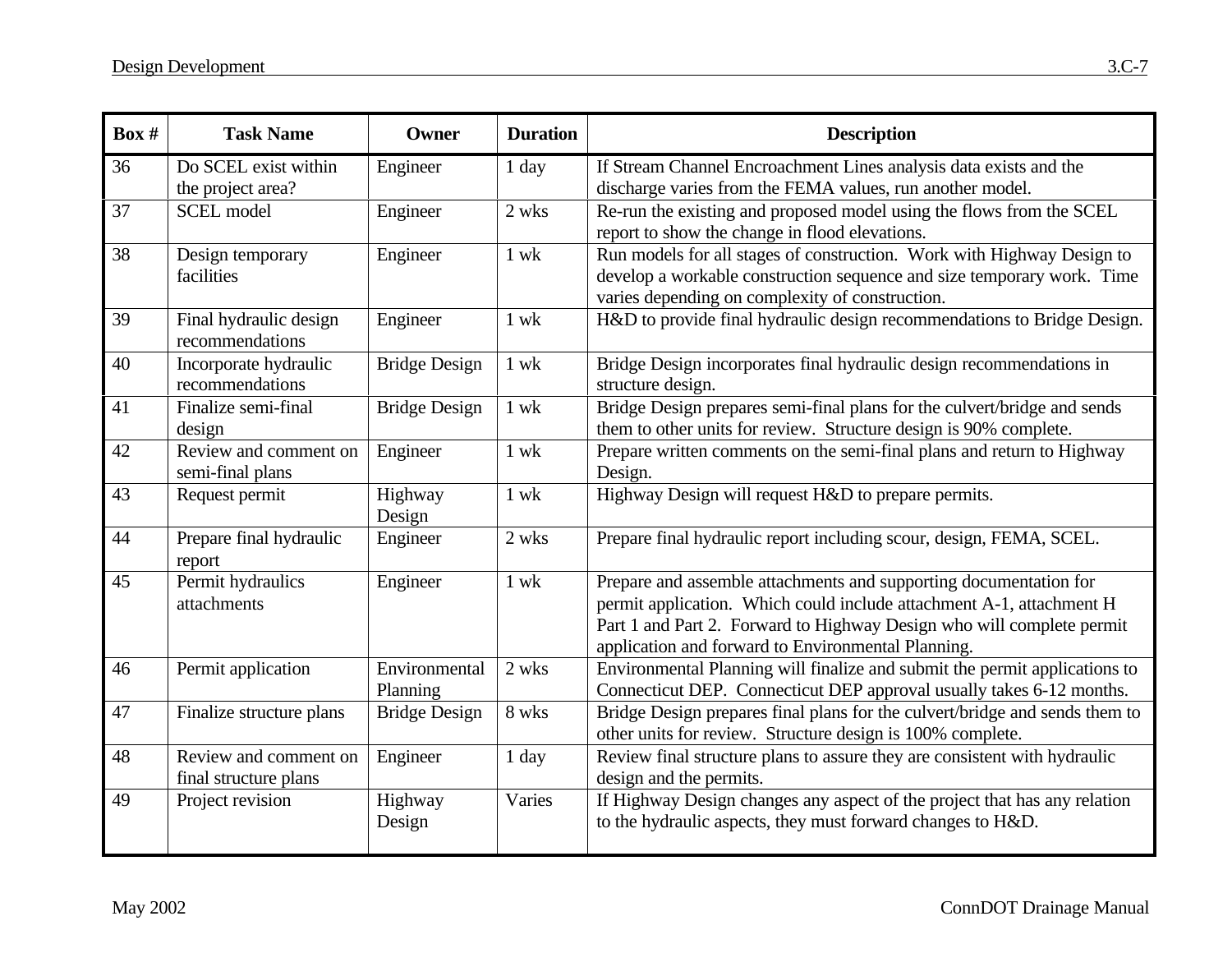| Box # | <b>Task Name</b>                               | Owner                     | <b>Duration</b> | <b>Description</b>                                                                                                                                                                                                                                                       |
|-------|------------------------------------------------|---------------------------|-----------------|--------------------------------------------------------------------------------------------------------------------------------------------------------------------------------------------------------------------------------------------------------------------------|
| 36    | Do SCEL exist within<br>the project area?      | Engineer                  | $1$ day         | If Stream Channel Encroachment Lines analysis data exists and the<br>discharge varies from the FEMA values, run another model.                                                                                                                                           |
| 37    | <b>SCEL</b> model                              | Engineer                  | 2 wks           | Re-run the existing and proposed model using the flows from the SCEL<br>report to show the change in flood elevations.                                                                                                                                                   |
| 38    | Design temporary<br>facilities                 | Engineer                  | $1$ wk          | Run models for all stages of construction. Work with Highway Design to<br>develop a workable construction sequence and size temporary work. Time<br>varies depending on complexity of construction.                                                                      |
| 39    | Final hydraulic design<br>recommendations      | Engineer                  | $1$ wk          | H&D to provide final hydraulic design recommendations to Bridge Design.                                                                                                                                                                                                  |
| 40    | Incorporate hydraulic<br>recommendations       | <b>Bridge Design</b>      | $1$ wk          | Bridge Design incorporates final hydraulic design recommendations in<br>structure design.                                                                                                                                                                                |
| 41    | Finalize semi-final<br>design                  | <b>Bridge Design</b>      | $1$ wk          | Bridge Design prepares semi-final plans for the culvert/bridge and sends<br>them to other units for review. Structure design is 90% complete.                                                                                                                            |
| 42    | Review and comment on<br>semi-final plans      | Engineer                  | $1$ wk          | Prepare written comments on the semi-final plans and return to Highway<br>Design.                                                                                                                                                                                        |
| 43    | Request permit                                 | Highway<br>Design         | $1$ wk          | Highway Design will request H&D to prepare permits.                                                                                                                                                                                                                      |
| 44    | Prepare final hydraulic<br>report              | Engineer                  | 2 wks           | Prepare final hydraulic report including scour, design, FEMA, SCEL.                                                                                                                                                                                                      |
| 45    | Permit hydraulics<br>attachments               | Engineer                  | $1$ wk          | Prepare and assemble attachments and supporting documentation for<br>permit application. Which could include attachment A-1, attachment H<br>Part 1 and Part 2. Forward to Highway Design who will complete permit<br>application and forward to Environmental Planning. |
| 46    | Permit application                             | Environmental<br>Planning | 2 wks           | Environmental Planning will finalize and submit the permit applications to<br>Connecticut DEP. Connecticut DEP approval usually takes 6-12 months.                                                                                                                       |
| 47    | Finalize structure plans                       | <b>Bridge Design</b>      | 8 wks           | Bridge Design prepares final plans for the culvert/bridge and sends them to<br>other units for review. Structure design is 100% complete.                                                                                                                                |
| 48    | Review and comment on<br>final structure plans | Engineer                  | 1 day           | Review final structure plans to assure they are consistent with hydraulic<br>design and the permits.                                                                                                                                                                     |
| 49    | Project revision                               | Highway<br>Design         | Varies          | If Highway Design changes any aspect of the project that has any relation<br>to the hydraulic aspects, they must forward changes to H&D.                                                                                                                                 |